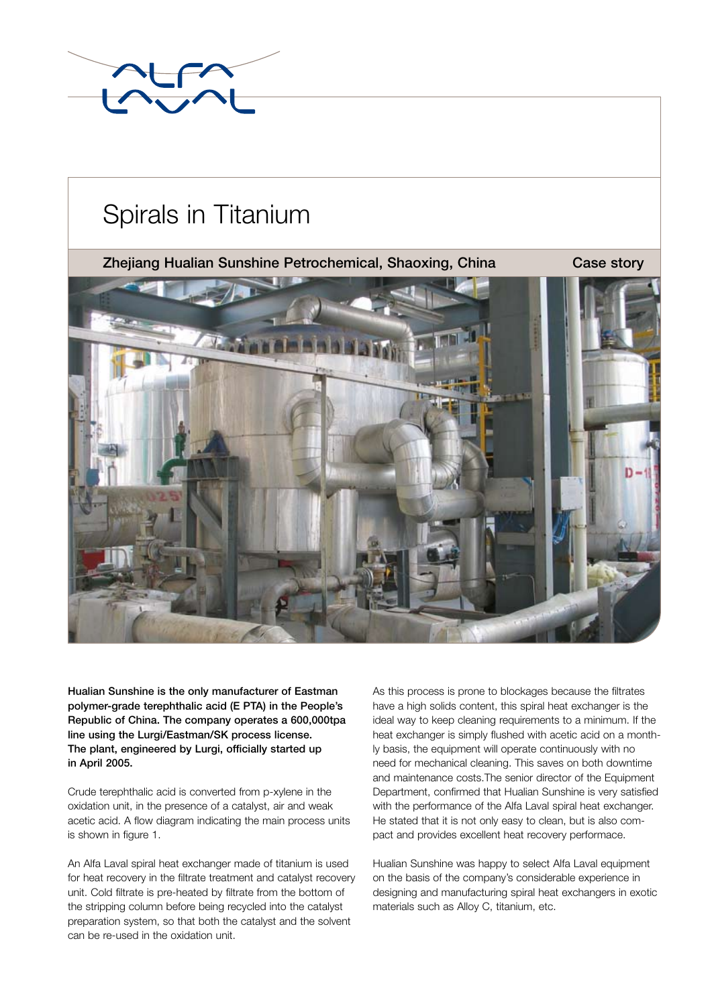

# Spirals in Titanium

Zhejiang Hualian Sunshine Petrochemical, Shaoxing, China Case story





Hualian Sunshine is the only manufacturer of Eastman polymer-grade terephthalic acid (E PTA) in the People's Republic of China. The company operates a 600,000tpa line using the Lurgi/Eastman/SK process license. The plant, engineered by Lurgi, officially started up in April 2005.

Crude terephthalic acid is converted from p-xylene in the oxidation unit, in the presence of a catalyst, air and weak acetic acid. A flow diagram indicating the main process units is shown in figure 1.

An Alfa Laval spiral heat exchanger made of titanium is used for heat recovery in the filtrate treatment and catalyst recovery unit. Cold filtrate is pre-heated by filtrate from the bottom of the stripping column before being recycled into the catalyst preparation system, so that both the catalyst and the solvent can be re-used in the oxidation unit.

As this process is prone to blockages because the filtrates have a high solids content, this spiral heat exchanger is the ideal way to keep cleaning requirements to a minimum. If the heat exchanger is simply flushed with acetic acid on a monthly basis, the equipment will operate continuously with no need for mechanical cleaning. This saves on both downtime and maintenance costs.The senior director of the Equipment Department, confirmed that Hualian Sunshine is very satisfied with the performance of the Alfa Laval spiral heat exchanger. He stated that it is not only easy to clean, but is also compact and provides excellent heat recovery performace.

Hualian Sunshine was happy to select Alfa Laval equipment on the basis of the company's considerable experience in designing and manufacturing spiral heat exchangers in exotic materials such as Alloy C, titanium, etc.